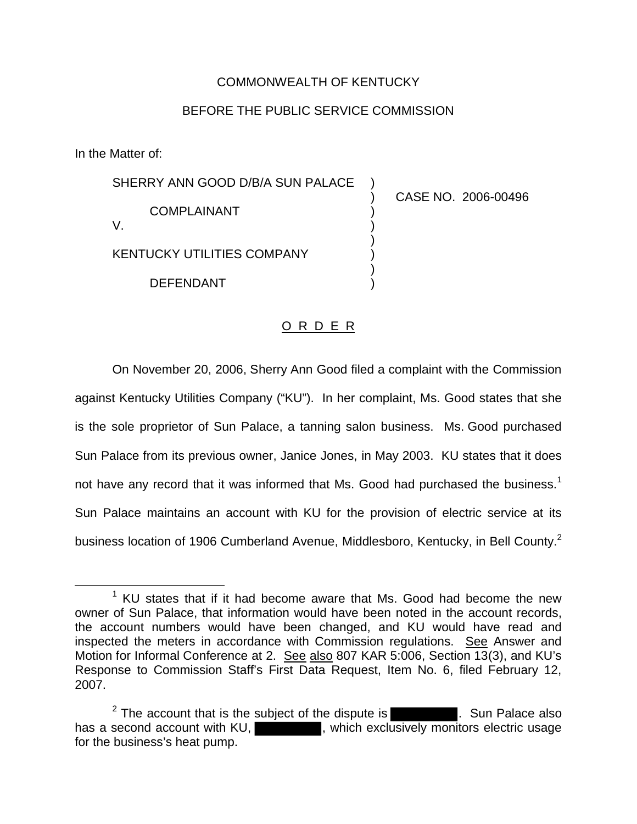## COMMONWEALTH OF KENTUCKY

## BEFORE THE PUBLIC SERVICE COMMISSION

In the Matter of:

SHERRY ANN GOOD D/B/A SUN PALACE COMPLAINANT V. KENTUCKY UTILITIES COMPANY ) ) ) ) ) )

DEFENDANT

) CASE NO. 2006-00496

## O R D E R

)

On November 20, 2006, Sherry Ann Good filed a complaint with the Commission against Kentucky Utilities Company ("KU"). In her complaint, Ms. Good states that she is the sole proprietor of Sun Palace, a tanning salon business. Ms. Good purchased Sun Palace from its previous owner, Janice Jones, in May 2003. KU states that it does not have any record that it was informed that Ms. Good had purchased the business.<sup>1</sup> Sun Palace maintains an account with KU for the provision of electric service at its business location of 1906 Cumberland Avenue, Middlesboro, Kentucky, in Bell County.2

 $1$  KU states that if it had become aware that Ms. Good had become the new owner of Sun Palace, that information would have been noted in the account records, the account numbers would have been changed, and KU would have read and inspected the meters in accordance with Commission regulations. See Answer and Motion for Informal Conference at 2. See also 807 KAR 5:006, Section 13(3), and KU's Response to Commission Staff's First Data Request, Item No. 6, filed February 12, 2007.

<sup>&</sup>lt;sup>2</sup> The account that is the subject of the dispute is  $\blacksquare$  . Sun Palace also has a second account with KU, which exclusively monitors electric usage for the business's heat pump.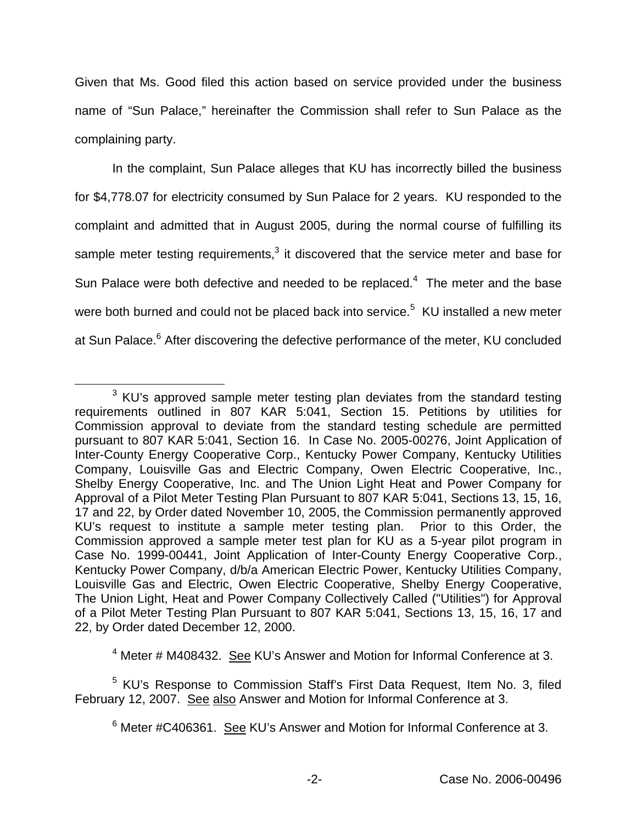Given that Ms. Good filed this action based on service provided under the business name of "Sun Palace," hereinafter the Commission shall refer to Sun Palace as the complaining party.

In the complaint, Sun Palace alleges that KU has incorrectly billed the business for \$4,778.07 for electricity consumed by Sun Palace for 2 years. KU responded to the complaint and admitted that in August 2005, during the normal course of fulfilling its sample meter testing requirements, $3$  it discovered that the service meter and base for Sun Palace were both defective and needed to be replaced.<sup>4</sup> The meter and the base were both burned and could not be placed back into service.<sup>5</sup> KU installed a new meter at Sun Palace.<sup>6</sup> After discovering the defective performance of the meter, KU concluded

<sup>4</sup> Meter # M408432. See KU's Answer and Motion for Informal Conference at 3.

<sup>5</sup> KU's Response to Commission Staff's First Data Request, Item No. 3, filed February 12, 2007. See also Answer and Motion for Informal Conference at 3.

 $3$  KU's approved sample meter testing plan deviates from the standard testing requirements outlined in 807 KAR 5:041, Section 15. Petitions by utilities for Commission approval to deviate from the standard testing schedule are permitted pursuant to 807 KAR 5:041, Section 16. In Case No. 2005-00276, Joint Application of Inter-County Energy Cooperative Corp., Kentucky Power Company, Kentucky Utilities Company, Louisville Gas and Electric Company, Owen Electric Cooperative, Inc., Shelby Energy Cooperative, Inc. and The Union Light Heat and Power Company for Approval of a Pilot Meter Testing Plan Pursuant to 807 KAR 5:041, Sections 13, 15, 16, 17 and 22, by Order dated November 10, 2005, the Commission permanently approved KU's request to institute a sample meter testing plan. Prior to this Order, the Commission approved a sample meter test plan for KU as a 5-year pilot program in Case No. 1999-00441, Joint Application of Inter-County Energy Cooperative Corp., Kentucky Power Company, d/b/a American Electric Power, Kentucky Utilities Company, Louisville Gas and Electric, Owen Electric Cooperative, Shelby Energy Cooperative, The Union Light, Heat and Power Company Collectively Called ("Utilities") for Approval of a Pilot Meter Testing Plan Pursuant to 807 KAR 5:041, Sections 13, 15, 16, 17 and 22, by Order dated December 12, 2000.

 $6$  Meter #C406361. See KU's Answer and Motion for Informal Conference at 3.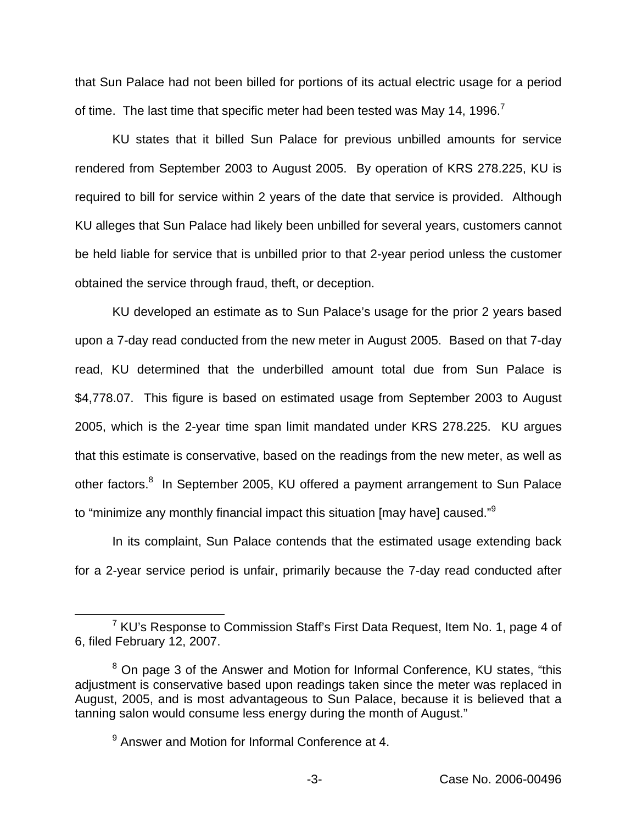that Sun Palace had not been billed for portions of its actual electric usage for a period of time. The last time that specific meter had been tested was May 14, 1996.<sup>7</sup>

KU states that it billed Sun Palace for previous unbilled amounts for service rendered from September 2003 to August 2005. By operation of KRS 278.225, KU is required to bill for service within 2 years of the date that service is provided. Although KU alleges that Sun Palace had likely been unbilled for several years, customers cannot be held liable for service that is unbilled prior to that 2-year period unless the customer obtained the service through fraud, theft, or deception.

KU developed an estimate as to Sun Palace's usage for the prior 2 years based upon a 7-day read conducted from the new meter in August 2005. Based on that 7-day read, KU determined that the underbilled amount total due from Sun Palace is \$4,778.07. This figure is based on estimated usage from September 2003 to August 2005, which is the 2-year time span limit mandated under KRS 278.225. KU argues that this estimate is conservative, based on the readings from the new meter, as well as other factors.<sup>8</sup> In September 2005, KU offered a payment arrangement to Sun Palace to "minimize any monthly financial impact this situation [may have] caused."<sup>9</sup>

In its complaint, Sun Palace contends that the estimated usage extending back for a 2-year service period is unfair, primarily because the 7-day read conducted after

 $7$  KU's Response to Commission Staff's First Data Request, Item No. 1, page 4 of 6, filed February 12, 2007.

<sup>&</sup>lt;sup>8</sup> On page 3 of the Answer and Motion for Informal Conference, KU states, "this adjustment is conservative based upon readings taken since the meter was replaced in August, 2005, and is most advantageous to Sun Palace, because it is believed that a tanning salon would consume less energy during the month of August."

 $9$  Answer and Motion for Informal Conference at 4.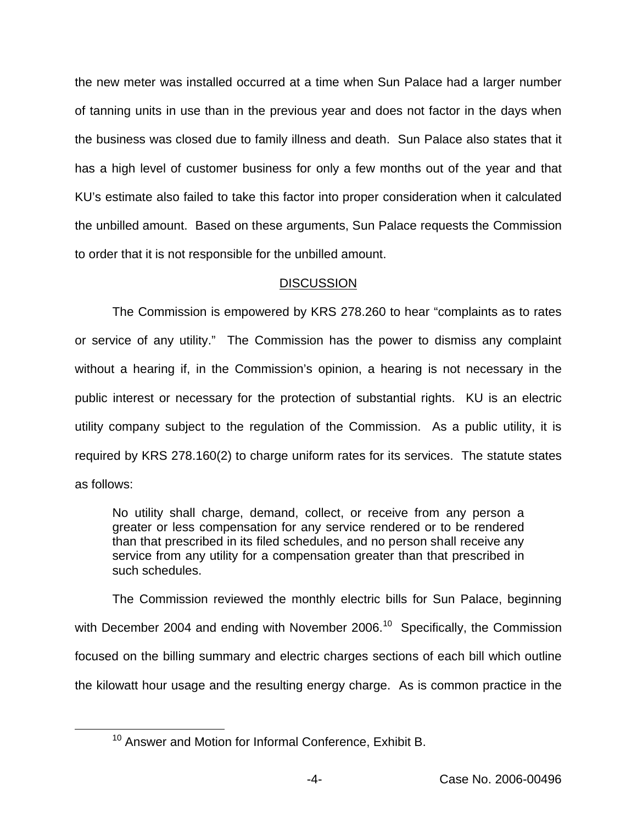the new meter was installed occurred at a time when Sun Palace had a larger number of tanning units in use than in the previous year and does not factor in the days when the business was closed due to family illness and death. Sun Palace also states that it has a high level of customer business for only a few months out of the year and that KU's estimate also failed to take this factor into proper consideration when it calculated the unbilled amount. Based on these arguments, Sun Palace requests the Commission to order that it is not responsible for the unbilled amount.

## **DISCUSSION**

The Commission is empowered by KRS 278.260 to hear "complaints as to rates or service of any utility." The Commission has the power to dismiss any complaint without a hearing if, in the Commission's opinion, a hearing is not necessary in the public interest or necessary for the protection of substantial rights. KU is an electric utility company subject to the regulation of the Commission. As a public utility, it is required by KRS 278.160(2) to charge uniform rates for its services. The statute states as follows:

No utility shall charge, demand, collect, or receive from any person a greater or less compensation for any service rendered or to be rendered than that prescribed in its filed schedules, and no person shall receive any service from any utility for a compensation greater than that prescribed in such schedules.

The Commission reviewed the monthly electric bills for Sun Palace, beginning with December 2004 and ending with November 2006.<sup>10</sup> Specifically, the Commission focused on the billing summary and electric charges sections of each bill which outline the kilowatt hour usage and the resulting energy charge. As is common practice in the

<sup>&</sup>lt;sup>10</sup> Answer and Motion for Informal Conference, Exhibit B.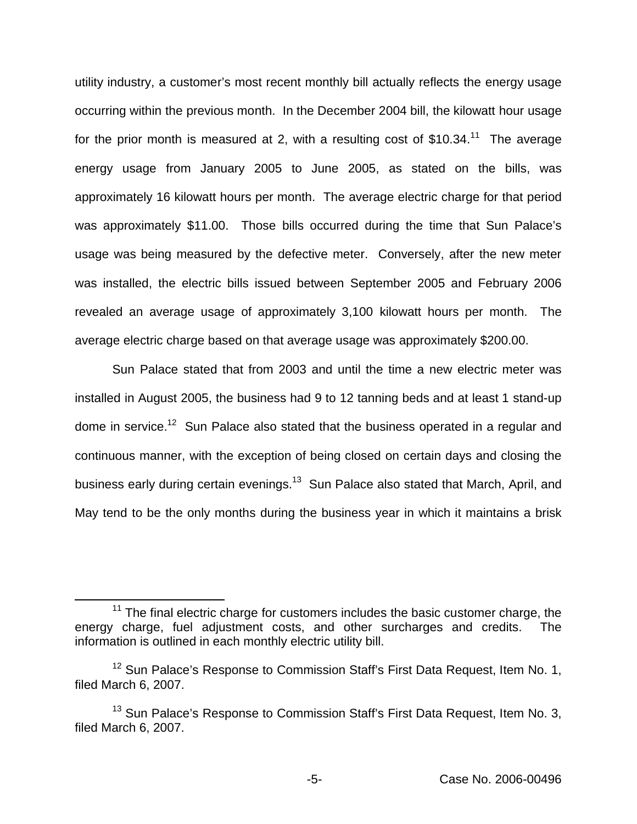utility industry, a customer's most recent monthly bill actually reflects the energy usage occurring within the previous month. In the December 2004 bill, the kilowatt hour usage for the prior month is measured at 2, with a resulting cost of \$10.34.<sup>11</sup> The average energy usage from January 2005 to June 2005, as stated on the bills, was approximately 16 kilowatt hours per month. The average electric charge for that period was approximately \$11.00. Those bills occurred during the time that Sun Palace's usage was being measured by the defective meter. Conversely, after the new meter was installed, the electric bills issued between September 2005 and February 2006 revealed an average usage of approximately 3,100 kilowatt hours per month. The average electric charge based on that average usage was approximately \$200.00.

Sun Palace stated that from 2003 and until the time a new electric meter was installed in August 2005, the business had 9 to 12 tanning beds and at least 1 stand-up dome in service.<sup>12</sup> Sun Palace also stated that the business operated in a regular and continuous manner, with the exception of being closed on certain days and closing the business early during certain evenings.<sup>13</sup> Sun Palace also stated that March, April, and May tend to be the only months during the business year in which it maintains a brisk

 $11$  The final electric charge for customers includes the basic customer charge, the energy charge, fuel adjustment costs, and other surcharges and credits. The information is outlined in each monthly electric utility bill.

<sup>&</sup>lt;sup>12</sup> Sun Palace's Response to Commission Staff's First Data Request, Item No. 1, filed March 6, 2007.

<sup>&</sup>lt;sup>13</sup> Sun Palace's Response to Commission Staff's First Data Request, Item No. 3, filed March 6, 2007.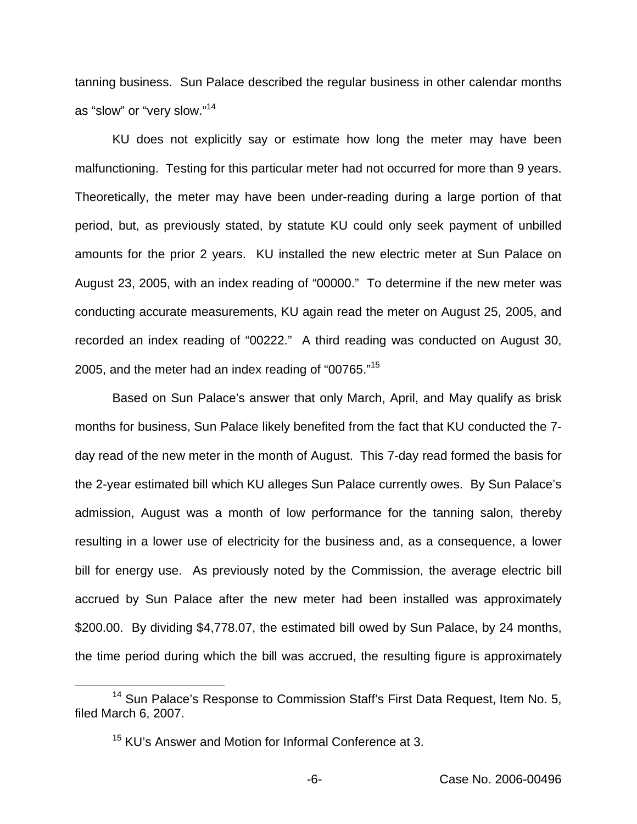tanning business. Sun Palace described the regular business in other calendar months as "slow" or "very slow."14

KU does not explicitly say or estimate how long the meter may have been malfunctioning. Testing for this particular meter had not occurred for more than 9 years. Theoretically, the meter may have been under-reading during a large portion of that period, but, as previously stated, by statute KU could only seek payment of unbilled amounts for the prior 2 years. KU installed the new electric meter at Sun Palace on August 23, 2005, with an index reading of "00000." To determine if the new meter was conducting accurate measurements, KU again read the meter on August 25, 2005, and recorded an index reading of "00222." A third reading was conducted on August 30, 2005, and the meter had an index reading of "00765."<sup>15</sup>

Based on Sun Palace's answer that only March, April, and May qualify as brisk months for business, Sun Palace likely benefited from the fact that KU conducted the 7 day read of the new meter in the month of August. This 7-day read formed the basis for the 2-year estimated bill which KU alleges Sun Palace currently owes. By Sun Palace's admission, August was a month of low performance for the tanning salon, thereby resulting in a lower use of electricity for the business and, as a consequence, a lower bill for energy use. As previously noted by the Commission, the average electric bill accrued by Sun Palace after the new meter had been installed was approximately \$200.00. By dividing \$4,778.07, the estimated bill owed by Sun Palace, by 24 months, the time period during which the bill was accrued, the resulting figure is approximately

<sup>&</sup>lt;sup>14</sup> Sun Palace's Response to Commission Staff's First Data Request, Item No. 5, filed March 6, 2007.

<sup>&</sup>lt;sup>15</sup> KU's Answer and Motion for Informal Conference at 3.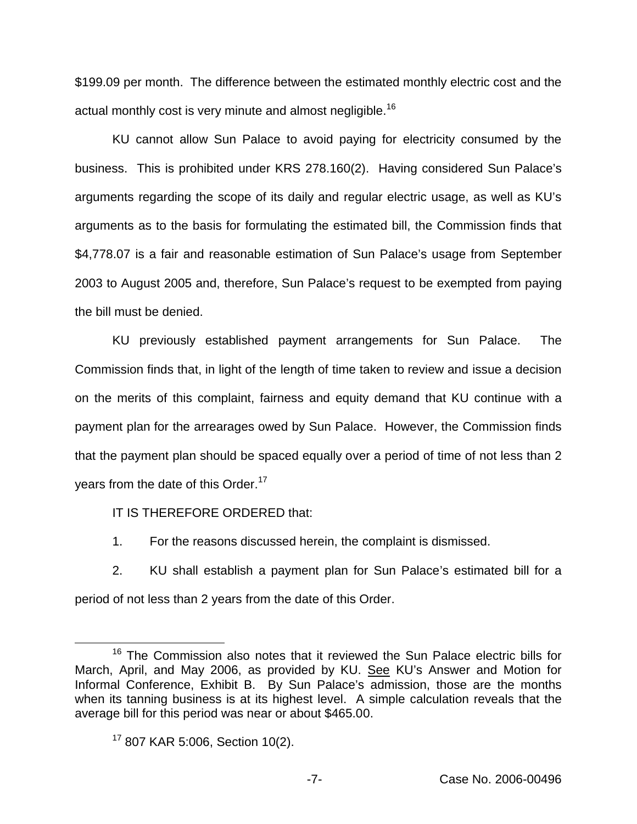\$199.09 per month. The difference between the estimated monthly electric cost and the actual monthly cost is very minute and almost negligible.<sup>16</sup>

KU cannot allow Sun Palace to avoid paying for electricity consumed by the business. This is prohibited under KRS 278.160(2). Having considered Sun Palace's arguments regarding the scope of its daily and regular electric usage, as well as KU's arguments as to the basis for formulating the estimated bill, the Commission finds that \$4,778.07 is a fair and reasonable estimation of Sun Palace's usage from September 2003 to August 2005 and, therefore, Sun Palace's request to be exempted from paying the bill must be denied.

KU previously established payment arrangements for Sun Palace. The Commission finds that, in light of the length of time taken to review and issue a decision on the merits of this complaint, fairness and equity demand that KU continue with a payment plan for the arrearages owed by Sun Palace. However, the Commission finds that the payment plan should be spaced equally over a period of time of not less than 2 years from the date of this Order.<sup>17</sup>

IT IS THEREFORE ORDERED that:

1. For the reasons discussed herein, the complaint is dismissed.

2. KU shall establish a payment plan for Sun Palace's estimated bill for a period of not less than 2 years from the date of this Order.

<sup>&</sup>lt;sup>16</sup> The Commission also notes that it reviewed the Sun Palace electric bills for March, April, and May 2006, as provided by KU. See KU's Answer and Motion for Informal Conference, Exhibit B. By Sun Palace's admission, those are the months when its tanning business is at its highest level. A simple calculation reveals that the average bill for this period was near or about \$465.00.

<sup>&</sup>lt;sup>17</sup> 807 KAR 5:006, Section 10(2).